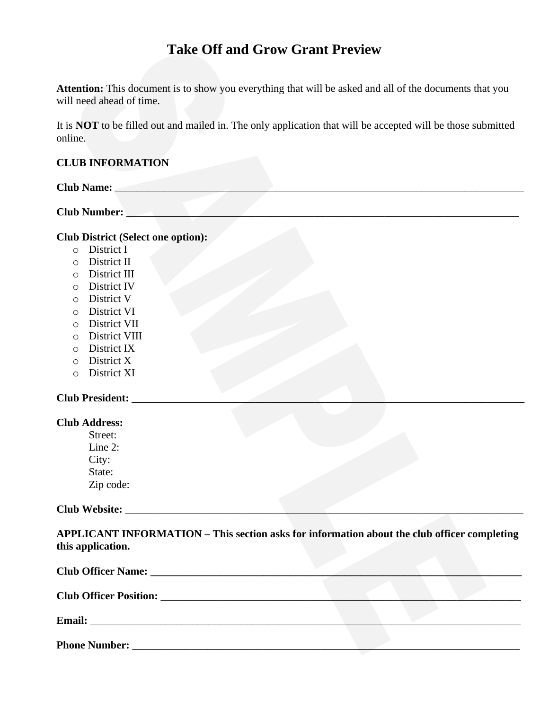# **Take Off and Grow Grant Preview**

**Attention:** This document is to show you everything that will be asked and all of the documents that you will need ahead of time.

It is **NOT** to be filled out and mailed in. The only application that will be accepted will be those submitted online.

### **CLUB INFORMATION**

| <b>Club Name:</b>   |  |  |  |
|---------------------|--|--|--|
|                     |  |  |  |
| <b>Club Number:</b> |  |  |  |

**Club District (Select one option):**

- o District I
- o District II
- o District III
- o District IV
- o District V
- o District VI
- o District VII
- o District VIII
- o District IX
- o District X
- o District XI

#### **Club President: \_\_\_\_\_\_\_\_\_\_\_\_\_\_\_\_\_\_\_\_\_\_\_\_\_\_\_\_\_\_\_\_\_\_\_\_\_\_\_\_\_\_\_\_\_\_\_\_\_\_\_\_\_\_\_\_\_\_\_\_\_\_\_\_\_\_\_\_\_\_\_\_\_**

|  | <b>Club Address:</b> |
|--|----------------------|
|--|----------------------|

Street: Line 2: City: State: Zip code:

**Club Website:** \_\_\_\_\_\_\_\_\_\_\_\_\_\_\_\_\_\_\_\_\_\_\_\_\_\_\_\_\_\_\_\_\_\_\_\_\_\_\_\_\_\_\_\_\_\_\_\_\_\_\_\_\_\_\_\_\_\_\_\_\_\_\_\_\_\_\_\_\_\_\_\_\_\_

**APPLICANT INFORMATION – This section asks for information about the club officer completing this application.**

| <b>Email:</b>        |  |  |  |  |
|----------------------|--|--|--|--|
| <b>Phone Number:</b> |  |  |  |  |